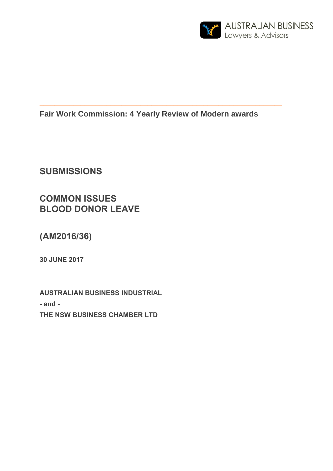

# **Fair Work Commission: 4 Yearly Review of Modern awards**

**\_\_\_\_\_\_\_\_\_\_\_\_\_\_\_\_\_\_\_\_\_\_\_\_\_\_\_\_\_\_\_\_\_\_\_\_\_\_\_\_\_\_\_\_\_\_\_\_\_\_\_\_\_\_\_\_\_\_\_\_\_\_\_\_\_**

**SUBMISSIONS** 

**COMMON ISSUES BLOOD DONOR LEAVE**

**(AM2016/36)**

**30 JUNE 2017**

**AUSTRALIAN BUSINESS INDUSTRIAL - and - THE NSW BUSINESS CHAMBER LTD**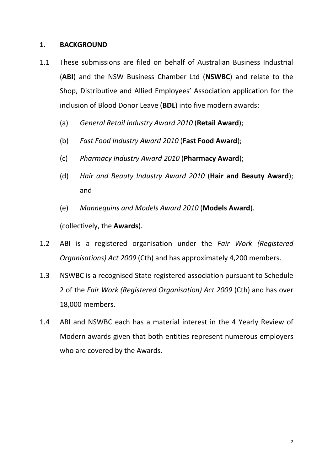## **1. BACKGROUND**

- 1.1 These submissions are filed on behalf of Australian Business Industrial (**ABI**) and the NSW Business Chamber Ltd (**NSWBC**) and relate to the Shop, Distributive and Allied Employees' Association application for the inclusion of Blood Donor Leave (**BDL**) into five modern awards:
	- (a) *General Retail Industry Award 2010* (**Retail Award**);
	- (b) *Fast Food Industry Award 2010* (**Fast Food Award**);
	- (c) *Pharmacy Industry Award 2010* (**Pharmacy Award**);
	- (d) *Hair and Beauty Industry Award 2010* (**Hair and Beauty Award**); and
	- (e) *Mannequins and Models Award 2010* (**Models Award**).

(collectively, the **Awards**).

- 1.2 ABI is a registered organisation under the *Fair Work (Registered Organisations) Act 2009* (Cth) and has approximately 4,200 members.
- 1.3 NSWBC is a recognised State registered association pursuant to Schedule 2 of the *Fair Work (Registered Organisation) Act 2009* (Cth) and has over 18,000 members.
- 1.4 ABI and NSWBC each has a material interest in the 4 Yearly Review of Modern awards given that both entities represent numerous employers who are covered by the Awards.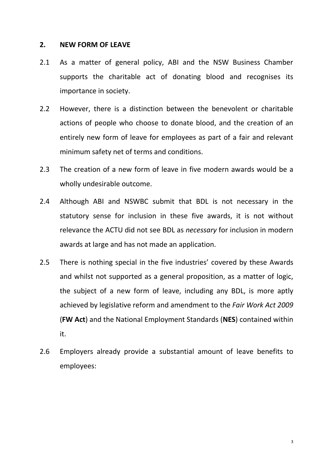### **2. NEW FORM OF LEAVE**

- 2.1 As a matter of general policy, ABI and the NSW Business Chamber supports the charitable act of donating blood and recognises its importance in society.
- 2.2 However, there is a distinction between the benevolent or charitable actions of people who choose to donate blood, and the creation of an entirely new form of leave for employees as part of a fair and relevant minimum safety net of terms and conditions.
- 2.3 The creation of a new form of leave in five modern awards would be a wholly undesirable outcome.
- 2.4 Although ABI and NSWBC submit that BDL is not necessary in the statutory sense for inclusion in these five awards, it is not without relevance the ACTU did not see BDL as *necessary* for inclusion in modern awards at large and has not made an application.
- 2.5 There is nothing special in the five industries' covered by these Awards and whilst not supported as a general proposition, as a matter of logic, the subject of a new form of leave, including any BDL, is more aptly achieved by legislative reform and amendment to the *Fair Work Act 2009*  (**FW Act**) and the National Employment Standards (**NES**) contained within it.
- 2.6 Employers already provide a substantial amount of leave benefits to employees: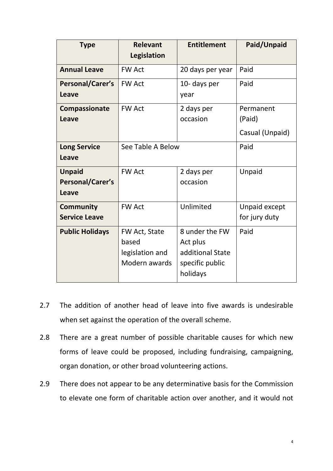| <b>Type</b>                                | <b>Relevant</b><br>Legislation                             | <b>Entitlement</b>                                                            | Paid/Unpaid                            |
|--------------------------------------------|------------------------------------------------------------|-------------------------------------------------------------------------------|----------------------------------------|
| <b>Annual Leave</b>                        | <b>FW Act</b>                                              | 20 days per year                                                              | Paid                                   |
| Personal/Carer's<br>Leave                  | <b>FW Act</b>                                              | 10- days per<br>year                                                          | Paid                                   |
| Compassionate<br><b>Leave</b>              | <b>FW Act</b>                                              | 2 days per<br>occasion                                                        | Permanent<br>(Paid)<br>Casual (Unpaid) |
| <b>Long Service</b><br>Leave               | See Table A Below                                          |                                                                               | Paid                                   |
| <b>Unpaid</b><br>Personal/Carer's<br>Leave | <b>FW Act</b>                                              | 2 days per<br>occasion                                                        | Unpaid                                 |
| <b>Community</b><br><b>Service Leave</b>   | <b>FW Act</b>                                              | Unlimited                                                                     | Unpaid except<br>for jury duty         |
| <b>Public Holidays</b>                     | FW Act, State<br>based<br>legislation and<br>Modern awards | 8 under the FW<br>Act plus<br>additional State<br>specific public<br>holidays | Paid                                   |

- 2.7 The addition of another head of leave into five awards is undesirable when set against the operation of the overall scheme.
- 2.8 There are a great number of possible charitable causes for which new forms of leave could be proposed, including fundraising, campaigning, organ donation, or other broad volunteering actions.
- 2.9 There does not appear to be any determinative basis for the Commission to elevate one form of charitable action over another, and it would not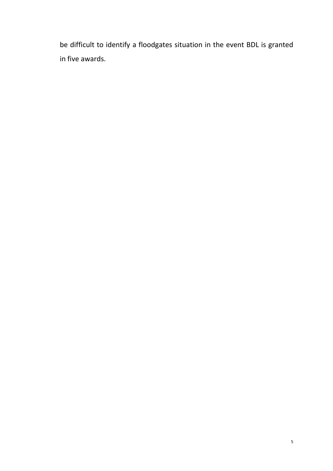be difficult to identify a floodgates situation in the event BDL is granted in five awards.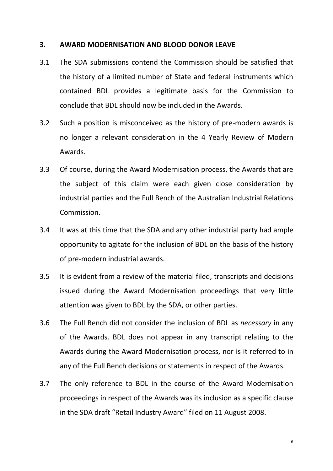### **3. AWARD MODERNISATION AND BLOOD DONOR LEAVE**

- 3.1 The SDA submissions contend the Commission should be satisfied that the history of a limited number of State and federal instruments which contained BDL provides a legitimate basis for the Commission to conclude that BDL should now be included in the Awards.
- 3.2 Such a position is misconceived as the history of pre-modern awards is no longer a relevant consideration in the 4 Yearly Review of Modern Awards.
- 3.3 Of course, during the Award Modernisation process, the Awards that are the subject of this claim were each given close consideration by industrial parties and the Full Bench of the Australian Industrial Relations Commission.
- 3.4 It was at this time that the SDA and any other industrial party had ample opportunity to agitate for the inclusion of BDL on the basis of the history of pre-modern industrial awards.
- 3.5 It is evident from a review of the material filed, transcripts and decisions issued during the Award Modernisation proceedings that very little attention was given to BDL by the SDA, or other parties.
- 3.6 The Full Bench did not consider the inclusion of BDL as *necessary* in any of the Awards. BDL does not appear in any transcript relating to the Awards during the Award Modernisation process, nor is it referred to in any of the Full Bench decisions or statements in respect of the Awards.
- 3.7 The only reference to BDL in the course of the Award Modernisation proceedings in respect of the Awards was its inclusion as a specific clause in the SDA draft "Retail Industry Award" filed on 11 August 2008.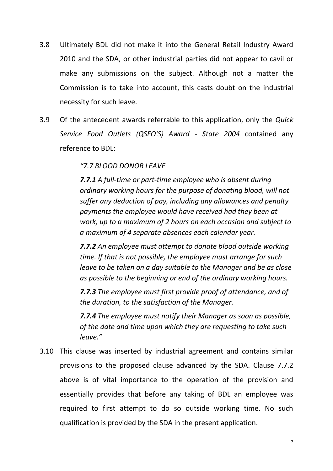- 3.8 Ultimately BDL did not make it into the General Retail Industry Award 2010 and the SDA, or other industrial parties did not appear to cavil or make any submissions on the subject. Although not a matter the Commission is to take into account, this casts doubt on the industrial necessity for such leave.
- 3.9 Of the antecedent awards referrable to this application, only the *Quick Service Food Outlets (QSFO'S) Award - State 2004* contained any reference to BDL:

## *"7.7 BLOOD DONOR LEAVE*

*7.7.1 A full-time or part-time employee who is absent during ordinary working hours for the purpose of donating blood, will not suffer any deduction of pay, including any allowances and penalty payments the employee would have received had they been at work, up to a maximum of 2 hours on each occasion and subject to a maximum of 4 separate absences each calendar year.* 

*7.7.2 An employee must attempt to donate blood outside working time. If that is not possible, the employee must arrange for such leave to be taken on a day suitable to the Manager and be as close as possible to the beginning or end of the ordinary working hours.* 

*7.7.3 The employee must first provide proof of attendance, and of the duration, to the satisfaction of the Manager.* 

*7.7.4 The employee must notify their Manager as soon as possible, of the date and time upon which they are requesting to take such leave."*

3.10 This clause was inserted by industrial agreement and contains similar provisions to the proposed clause advanced by the SDA. Clause 7.7.2 above is of vital importance to the operation of the provision and essentially provides that before any taking of BDL an employee was required to first attempt to do so outside working time. No such qualification is provided by the SDA in the present application.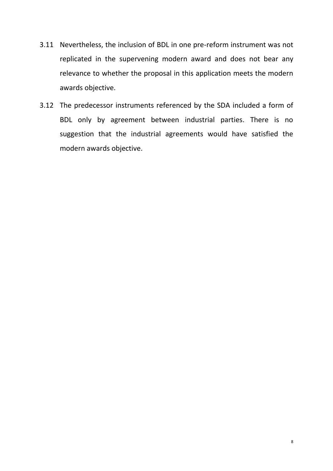- 3.11 Nevertheless, the inclusion of BDL in one pre-reform instrument was not replicated in the supervening modern award and does not bear any relevance to whether the proposal in this application meets the modern awards objective.
- 3.12 The predecessor instruments referenced by the SDA included a form of BDL only by agreement between industrial parties. There is no suggestion that the industrial agreements would have satisfied the modern awards objective.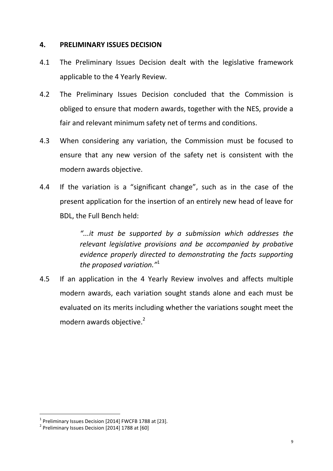### **4. PRELIMINARY ISSUES DECISION**

- 4.1 The Preliminary Issues Decision dealt with the legislative framework applicable to the 4 Yearly Review.
- 4.2 The Preliminary Issues Decision concluded that the Commission is obliged to ensure that modern awards, together with the NES, provide a fair and relevant minimum safety net of terms and conditions.
- 4.3 When considering any variation, the Commission must be focused to ensure that any new version of the safety net is consistent with the modern awards objective.
- 4.4 If the variation is a "significant change", such as in the case of the present application for the insertion of an entirely new head of leave for BDL, the Full Bench held:

*"...it must be supported by a submission which addresses the relevant legislative provisions and be accompanied by probative evidence properly directed to demonstrating the facts supporting the proposed variation."*<sup>1</sup>

4.5 If an application in the 4 Yearly Review involves and affects multiple modern awards, each variation sought stands alone and each must be evaluated on its merits including whether the variations sought meet the modern awards objective. 2

 $^1$  Preliminary Issues Decision [2014] FWCFB 1788 at [23].

 $^2$  Preliminary Issues Decision [2014] 1788 at [60]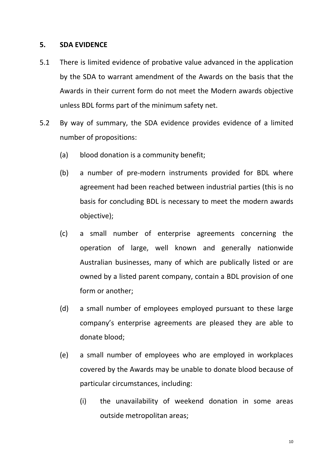### **5. SDA EVIDENCE**

- 5.1 There is limited evidence of probative value advanced in the application by the SDA to warrant amendment of the Awards on the basis that the Awards in their current form do not meet the Modern awards objective unless BDL forms part of the minimum safety net.
- 5.2 By way of summary, the SDA evidence provides evidence of a limited number of propositions:
	- (a) blood donation is a community benefit;
	- (b) a number of pre-modern instruments provided for BDL where agreement had been reached between industrial parties (this is no basis for concluding BDL is necessary to meet the modern awards objective);
	- (c) a small number of enterprise agreements concerning the operation of large, well known and generally nationwide Australian businesses, many of which are publically listed or are owned by a listed parent company, contain a BDL provision of one form or another;
	- (d) a small number of employees employed pursuant to these large company's enterprise agreements are pleased they are able to donate blood;
	- (e) a small number of employees who are employed in workplaces covered by the Awards may be unable to donate blood because of particular circumstances, including:
		- (i) the unavailability of weekend donation in some areas outside metropolitan areas;

10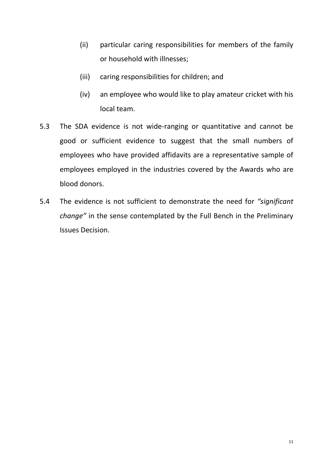- (ii) particular caring responsibilities for members of the family or household with illnesses;
- (iii) caring responsibilities for children; and
- (iv) an employee who would like to play amateur cricket with his local team.
- 5.3 The SDA evidence is not wide-ranging or quantitative and cannot be good or sufficient evidence to suggest that the small numbers of employees who have provided affidavits are a representative sample of employees employed in the industries covered by the Awards who are blood donors.
- 5.4 The evidence is not sufficient to demonstrate the need for *"significant change"* in the sense contemplated by the Full Bench in the Preliminary Issues Decision.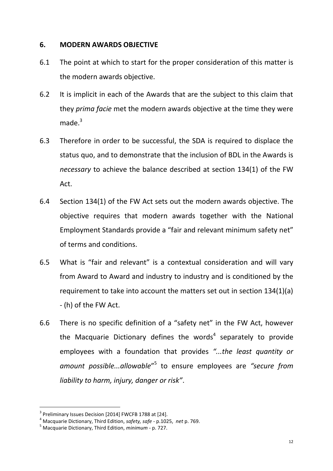### **6. MODERN AWARDS OBJECTIVE**

- 6.1 The point at which to start for the proper consideration of this matter is the modern awards objective.
- 6.2 It is implicit in each of the Awards that are the subject to this claim that they *prima facie* met the modern awards objective at the time they were  $m$ ade $^3$
- 6.3 Therefore in order to be successful, the SDA is required to displace the status quo, and to demonstrate that the inclusion of BDL in the Awards is *necessary* to achieve the balance described at section 134(1) of the FW Act.
- 6.4 Section 134(1) of the FW Act sets out the modern awards objective. The objective requires that modern awards together with the National Employment Standards provide a "fair and relevant minimum safety net" of terms and conditions.
- 6.5 What is "fair and relevant" is a contextual consideration and will vary from Award to Award and industry to industry and is conditioned by the requirement to take into account the matters set out in section 134(1)(a) - (h) of the FW Act.
- 6.6 There is no specific definition of a "safety net" in the FW Act, however the Macquarie Dictionary defines the words<sup>4</sup> separately to provide employees with a foundation that provides *"...the least quantity or*  amount possible...allowable<sup>"5</sup> to ensure employees are "secure from *liability to harm, injury, danger or risk"*.

 $^3$  Preliminary Issues Decision [2014] FWCFB 1788 at [24].

<sup>4</sup> Macquarie Dictionary, Third Edition, *safety, safe* - p.1025, *net* p. 769.

<sup>5</sup> Macquarie Dictionary, Third Edition, *minimum -* p. 727.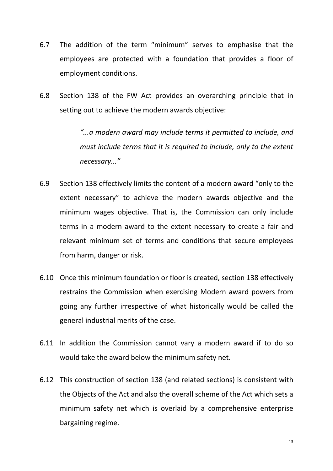- 6.7 The addition of the term "minimum" serves to emphasise that the employees are protected with a foundation that provides a floor of employment conditions.
- 6.8 Section 138 of the FW Act provides an overarching principle that in setting out to achieve the modern awards objective:

*"...a modern award may include terms it permitted to include, and must include terms that it is required to include, only to the extent necessary..."*

- 6.9 Section 138 effectively limits the content of a modern award "only to the extent necessary" to achieve the modern awards objective and the minimum wages objective. That is, the Commission can only include terms in a modern award to the extent necessary to create a fair and relevant minimum set of terms and conditions that secure employees from harm, danger or risk.
- 6.10 Once this minimum foundation or floor is created, section 138 effectively restrains the Commission when exercising Modern award powers from going any further irrespective of what historically would be called the general industrial merits of the case.
- 6.11 In addition the Commission cannot vary a modern award if to do so would take the award below the minimum safety net.
- 6.12 This construction of section 138 (and related sections) is consistent with the Objects of the Act and also the overall scheme of the Act which sets a minimum safety net which is overlaid by a comprehensive enterprise bargaining regime.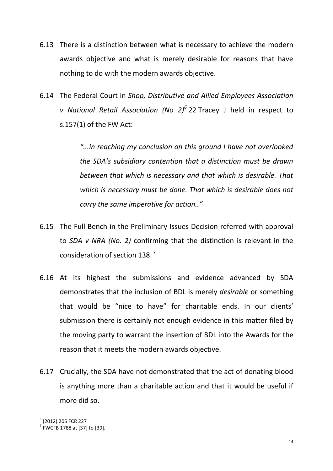- 6.13 There is a distinction between what is necessary to achieve the modern awards objective and what is merely desirable for reasons that have nothing to do with the modern awards objective.
- 6.14 The Federal Court in *Shop, Distributive and Allied Employees Association v National Retail Association (No 2)<sup>6</sup>* [22](https://www.fwc.gov.au/documents/decisionssigned/html/2014fwcfb1788.htm#P237_30345) Tracey J held in respect to s.157(1) of the FW Act:

*"...in reaching my conclusion on this ground I have not overlooked the SDA's subsidiary contention that a distinction must be drawn between that which is necessary and that which is desirable. That which is necessary must be done. That which is desirable does not carry the same imperative for action.."*

- 6.15 The Full Bench in the Preliminary Issues Decision referred with approval to *SDA v NRA (No. 2)* confirming that the distinction is relevant in the consideration of section 138.<sup>7</sup>
- 6.16 At its highest the submissions and evidence advanced by SDA demonstrates that the inclusion of BDL is merely *desirable* or something that would be "nice to have" for charitable ends. In our clients' submission there is certainly not enough evidence in this matter filed by the moving party to warrant the insertion of BDL into the Awards for the reason that it meets the modern awards objective.
- 6.17 Crucially, the SDA have not demonstrated that the act of donating blood is anything more than a charitable action and that it would be useful if more did so.

<sup>6</sup> (2012) 205 FCR 227

<sup>7</sup> FWCFB 1788 at [37] to [39].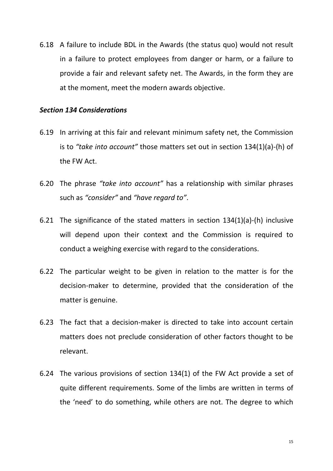6.18 A failure to include BDL in the Awards (the status quo) would not result in a failure to protect employees from danger or harm, or a failure to provide a fair and relevant safety net. The Awards, in the form they are at the moment, meet the modern awards objective.

#### *Section 134 Considerations*

- 6.19 In arriving at this fair and relevant minimum safety net, the Commission is to *"take into account"* those matters set out in section 134(1)(a)-(h) of the FW Act.
- 6.20 The phrase *"take into account"* has a relationship with similar phrases such as *"consider"* and *"have regard to"*.
- 6.21 The significance of the stated matters in section 134(1)(a)-(h) inclusive will depend upon their context and the Commission is required to conduct a weighing exercise with regard to the considerations.
- 6.22 The particular weight to be given in relation to the matter is for the decision-maker to determine, provided that the consideration of the matter is genuine.
- 6.23 The fact that a decision-maker is directed to take into account certain matters does not preclude consideration of other factors thought to be relevant.
- 6.24 The various provisions of section 134(1) of the FW Act provide a set of quite different requirements. Some of the limbs are written in terms of the 'need' to do something, while others are not. The degree to which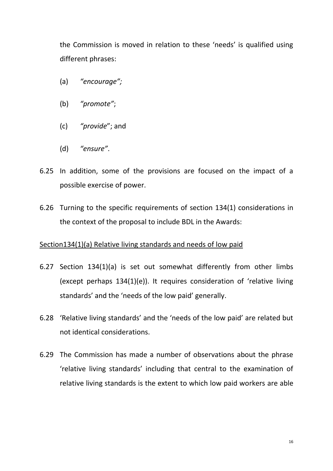the Commission is moved in relation to these 'needs' is qualified using different phrases:

- (a) *"encourage";*
- (b) *"promote"*;
- (c) *"provide*"; and
- (d) *"ensure"*.
- 6.25 In addition, some of the provisions are focused on the impact of a possible exercise of power.
- 6.26 Turning to the specific requirements of section 134(1) considerations in the context of the proposal to include BDL in the Awards:

## Section134(1)(a) Relative living standards and needs of low paid

- 6.27 Section 134(1)(a) is set out somewhat differently from other limbs (except perhaps 134(1)(e)). It requires consideration of 'relative living standards' and the 'needs of the low paid' generally.
- 6.28 'Relative living standards' and the 'needs of the low paid' are related but not identical considerations.
- 6.29 The Commission has made a number of observations about the phrase 'relative living standards' including that central to the examination of relative living standards is the extent to which low paid workers are able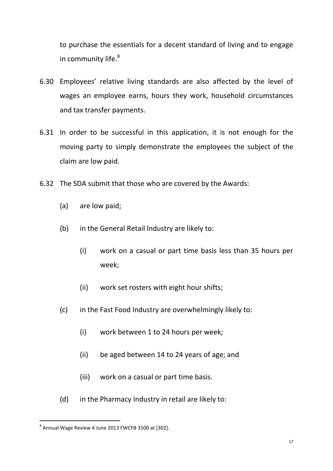to purchase the essentials for a decent standard of living and to engage in community life.<sup>8</sup>

- 6.30 Employees' relative living standards are also affected by the level of wages an employee earns, hours they work, household circumstances and tax transfer payments.
- 6.31 In order to be successful in this application, it is not enough for the moving party to simply demonstrate the employees the subject of the claim are low paid.
- 6.32 The SDA submit that those who are covered by the Awards:
	- (a) are low paid;
	- (b) in the General Retail Industry are likely to:
		- (i) work on a casual or part time basis less than 35 hours per week;
		- (ii) work set rosters with eight hour shifts;
	- (c) in the Fast Food Industry are overwhelmingly likely to:
		- (i) work between 1 to 24 hours per week;
		- (ii) be aged between 14 to 24 years of age; and
		- (iii) work on a casual or part time basis.
	- (d) in the Pharmacy Industry in retail are likely to:

 $^8$  Annual Wage Review 4 June 2013 FWCFB 3500 at [302].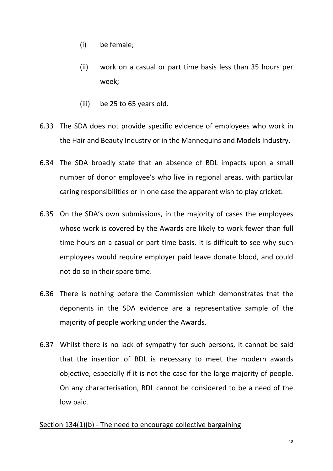- (i) be female;
- (ii) work on a casual or part time basis less than 35 hours per week;
- (iii) be 25 to 65 years old.
- 6.33 The SDA does not provide specific evidence of employees who work in the Hair and Beauty Industry or in the Mannequins and Models Industry.
- 6.34 The SDA broadly state that an absence of BDL impacts upon a small number of donor employee's who live in regional areas, with particular caring responsibilities or in one case the apparent wish to play cricket.
- 6.35 On the SDA's own submissions, in the majority of cases the employees whose work is covered by the Awards are likely to work fewer than full time hours on a casual or part time basis. It is difficult to see why such employees would require employer paid leave donate blood, and could not do so in their spare time.
- 6.36 There is nothing before the Commission which demonstrates that the deponents in the SDA evidence are a representative sample of the majority of people working under the Awards.
- 6.37 Whilst there is no lack of sympathy for such persons, it cannot be said that the insertion of BDL is necessary to meet the modern awards objective, especially if it is not the case for the large majority of people. On any characterisation, BDL cannot be considered to be a need of the low paid.

## Section 134(1)(b) - The need to encourage collective bargaining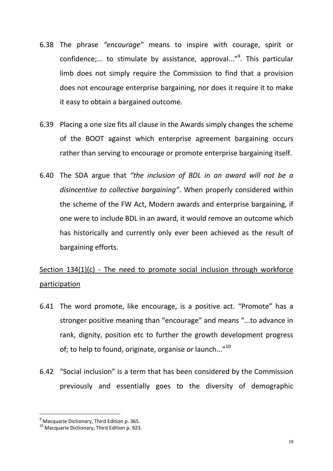- 6.38 The phrase *"encourage"* means to inspire with courage, spirit or confidence;... to stimulate by assistance, approval..."<sup>9</sup>. This particular limb does not simply require the Commission to find that a provision does not encourage enterprise bargaining, nor does it require it to make it easy to obtain a bargained outcome.
- 6.39 Placing a one size fits all clause in the Awards simply changes the scheme of the BOOT against which enterprise agreement bargaining occurs rather than serving to encourage or promote enterprise bargaining itself.
- 6.40 The SDA argue that *"the inclusion of BDL in an award will not be a disincentive to collective bargaining"*. When properly considered within the scheme of the FW Act, Modern awards and enterprise bargaining, if one were to include BDL in an award, it would remove an outcome which has historically and currently only ever been achieved as the result of bargaining efforts.

# Section 134(1)(c) - The need to promote social inclusion through workforce participation

- 6.41 The word promote, like encourage, is a positive act. "Promote" has a stronger positive meaning than "encourage" and means "...to advance in rank, dignity, position etc to further the growth development progress of; to help to found, originate, organise or launch..."<sup>10</sup>
- 6.42 "Social inclusion" is a term that has been considered by the Commission previously and essentially goes to the diversity of demographic

 $<sup>9</sup>$  Macquarie Dictionary, Third Edition p. 365.</sup>

<sup>10</sup> Macquarie Dictionary, Third Edition p. 923.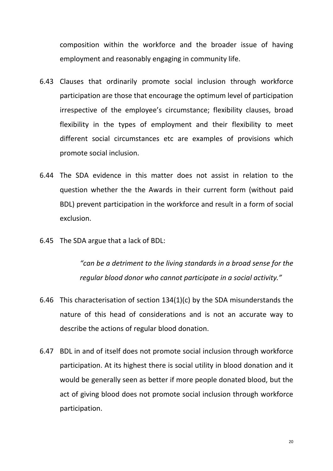composition within the workforce and the broader issue of having employment and reasonably engaging in community life.

- 6.43 Clauses that ordinarily promote social inclusion through workforce participation are those that encourage the optimum level of participation irrespective of the employee's circumstance; flexibility clauses, broad flexibility in the types of employment and their flexibility to meet different social circumstances etc are examples of provisions which promote social inclusion.
- 6.44 The SDA evidence in this matter does not assist in relation to the question whether the the Awards in their current form (without paid BDL) prevent participation in the workforce and result in a form of social exclusion.
- 6.45 The SDA argue that a lack of BDL:

*"can be a detriment to the living standards in a broad sense for the regular blood donor who cannot participate in a social activity."*

- 6.46 This characterisation of section 134(1)(c) by the SDA misunderstands the nature of this head of considerations and is not an accurate way to describe the actions of regular blood donation.
- 6.47 BDL in and of itself does not promote social inclusion through workforce participation. At its highest there is social utility in blood donation and it would be generally seen as better if more people donated blood, but the act of giving blood does not promote social inclusion through workforce participation.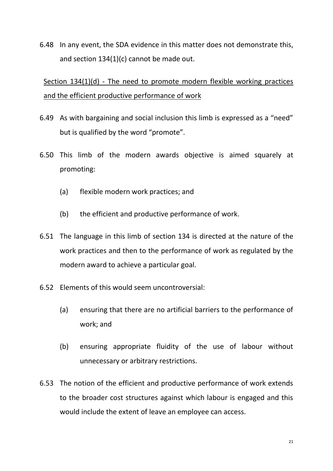6.48 In any event, the SDA evidence in this matter does not demonstrate this, and section 134(1)(c) cannot be made out.

# Section 134(1)(d) - The need to promote modern flexible working practices and the efficient productive performance of work

- 6.49 As with bargaining and social inclusion this limb is expressed as a "need" but is qualified by the word "promote".
- 6.50 This limb of the modern awards objective is aimed squarely at promoting:
	- (a) flexible modern work practices; and
	- (b) the efficient and productive performance of work.
- 6.51 The language in this limb of section 134 is directed at the nature of the work practices and then to the performance of work as regulated by the modern award to achieve a particular goal.
- 6.52 Elements of this would seem uncontroversial:
	- (a) ensuring that there are no artificial barriers to the performance of work; and
	- (b) ensuring appropriate fluidity of the use of labour without unnecessary or arbitrary restrictions.
- 6.53 The notion of the efficient and productive performance of work extends to the broader cost structures against which labour is engaged and this would include the extent of leave an employee can access.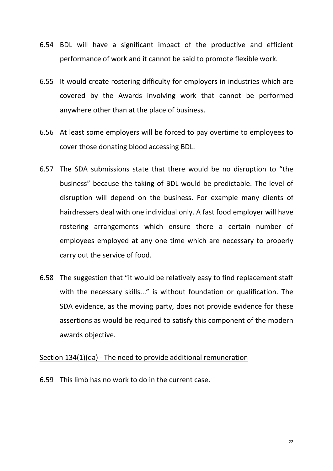- 6.54 BDL will have a significant impact of the productive and efficient performance of work and it cannot be said to promote flexible work.
- 6.55 It would create rostering difficulty for employers in industries which are covered by the Awards involving work that cannot be performed anywhere other than at the place of business.
- 6.56 At least some employers will be forced to pay overtime to employees to cover those donating blood accessing BDL.
- 6.57 The SDA submissions state that there would be no disruption to "the business" because the taking of BDL would be predictable. The level of disruption will depend on the business. For example many clients of hairdressers deal with one individual only. A fast food employer will have rostering arrangements which ensure there a certain number of employees employed at any one time which are necessary to properly carry out the service of food.
- 6.58 The suggestion that "it would be relatively easy to find replacement staff with the necessary skills..." is without foundation or qualification. The SDA evidence, as the moving party, does not provide evidence for these assertions as would be required to satisfy this component of the modern awards objective.

## Section 134(1)(da) - The need to provide additional remuneration

6.59 This limb has no work to do in the current case.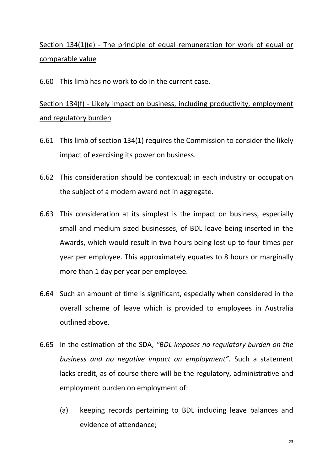# Section 134(1)(e) - The principle of equal remuneration for work of equal or comparable value

6.60 This limb has no work to do in the current case.

# Section 134(f) - Likely impact on business, including productivity, employment and regulatory burden

- 6.61 This limb of section 134(1) requires the Commission to consider the likely impact of exercising its power on business.
- 6.62 This consideration should be contextual; in each industry or occupation the subject of a modern award not in aggregate.
- 6.63 This consideration at its simplest is the impact on business, especially small and medium sized businesses, of BDL leave being inserted in the Awards, which would result in two hours being lost up to four times per year per employee. This approximately equates to 8 hours or marginally more than 1 day per year per employee.
- 6.64 Such an amount of time is significant, especially when considered in the overall scheme of leave which is provided to employees in Australia outlined above.
- 6.65 In the estimation of the SDA, *"BDL imposes no regulatory burden on the business and no negative impact on employment".* Such a statement lacks credit, as of course there will be the regulatory, administrative and employment burden on employment of:
	- (a) keeping records pertaining to BDL including leave balances and evidence of attendance;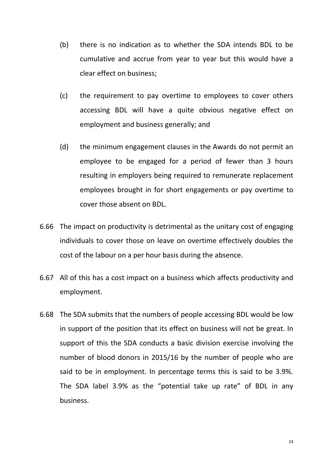- (b) there is no indication as to whether the SDA intends BDL to be cumulative and accrue from year to year but this would have a clear effect on business;
- (c) the requirement to pay overtime to employees to cover others accessing BDL will have a quite obvious negative effect on employment and business generally; and
- (d) the minimum engagement clauses in the Awards do not permit an employee to be engaged for a period of fewer than 3 hours resulting in employers being required to remunerate replacement employees brought in for short engagements or pay overtime to cover those absent on BDL.
- 6.66 The impact on productivity is detrimental as the unitary cost of engaging individuals to cover those on leave on overtime effectively doubles the cost of the labour on a per hour basis during the absence.
- 6.67 All of this has a cost impact on a business which affects productivity and employment.
- 6.68 The SDA submits that the numbers of people accessing BDL would be low in support of the position that its effect on business will not be great. In support of this the SDA conducts a basic division exercise involving the number of blood donors in 2015/16 by the number of people who are said to be in employment. In percentage terms this is said to be 3.9%. The SDA label 3.9% as the "potential take up rate" of BDL in any business.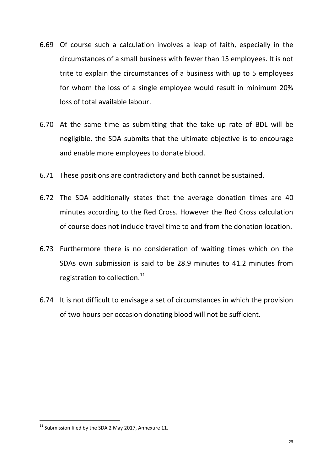- 6.69 Of course such a calculation involves a leap of faith, especially in the circumstances of a small business with fewer than 15 employees. It is not trite to explain the circumstances of a business with up to 5 employees for whom the loss of a single employee would result in minimum 20% loss of total available labour.
- 6.70 At the same time as submitting that the take up rate of BDL will be negligible, the SDA submits that the ultimate objective is to encourage and enable more employees to donate blood.
- 6.71 These positions are contradictory and both cannot be sustained.
- 6.72 The SDA additionally states that the average donation times are 40 minutes according to the Red Cross. However the Red Cross calculation of course does not include travel time to and from the donation location.
- 6.73 Furthermore there is no consideration of waiting times which on the SDAs own submission is said to be 28.9 minutes to 41.2 minutes from registration to collection.<sup>11</sup>
- 6.74 It is not difficult to envisage a set of circumstances in which the provision of two hours per occasion donating blood will not be sufficient.

 $11$  Submission filed by the SDA 2 May 2017, Annexure 11.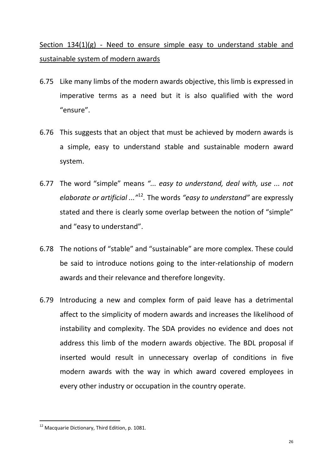Section 134(1)(g) - Need to ensure simple easy to understand stable and sustainable system of modern awards

- 6.75 Like many limbs of the modern awards objective, this limb is expressed in imperative terms as a need but it is also qualified with the word "ensure".
- 6.76 This suggests that an object that must be achieved by modern awards is a simple, easy to understand stable and sustainable modern award system.
- 6.77 The word "simple" means *"... easy to understand, deal with, use ... not elaborate or artificial ..."*<sup>12</sup> *.* The words *"easy to understand"* are expressly stated and there is clearly some overlap between the notion of "simple" and "easy to understand".
- 6.78 The notions of "stable" and "sustainable" are more complex. These could be said to introduce notions going to the inter-relationship of modern awards and their relevance and therefore longevity.
- 6.79 Introducing a new and complex form of paid leave has a detrimental affect to the simplicity of modern awards and increases the likelihood of instability and complexity. The SDA provides no evidence and does not address this limb of the modern awards objective. The BDL proposal if inserted would result in unnecessary overlap of conditions in five modern awards with the way in which award covered employees in every other industry or occupation in the country operate.

<sup>&</sup>lt;sup>12</sup> Macquarie Dictionary, Third Edition, p. 1081.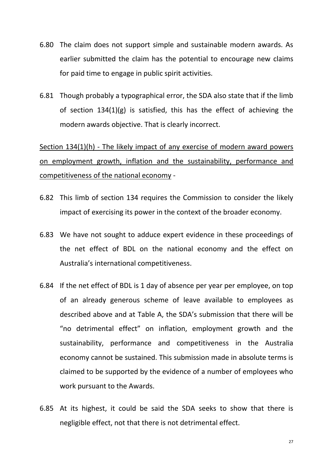- 6.80 The claim does not support simple and sustainable modern awards. As earlier submitted the claim has the potential to encourage new claims for paid time to engage in public spirit activities.
- 6.81 Though probably a typographical error, the SDA also state that if the limb of section 134(1)(g) is satisfied, this has the effect of achieving the modern awards objective. That is clearly incorrect.

Section 134(1)(h) - The likely impact of any exercise of modern award powers on employment growth, inflation and the sustainability, performance and competitiveness of the national economy -

- 6.82 This limb of section 134 requires the Commission to consider the likely impact of exercising its power in the context of the broader economy.
- 6.83 We have not sought to adduce expert evidence in these proceedings of the net effect of BDL on the national economy and the effect on Australia's international competitiveness.
- 6.84 If the net effect of BDL is 1 day of absence per year per employee, on top of an already generous scheme of leave available to employees as described above and at Table A, the SDA's submission that there will be "no detrimental effect" on inflation, employment growth and the sustainability, performance and competitiveness in the Australia economy cannot be sustained. This submission made in absolute terms is claimed to be supported by the evidence of a number of employees who work pursuant to the Awards.
- 6.85 At its highest, it could be said the SDA seeks to show that there is negligible effect, not that there is not detrimental effect.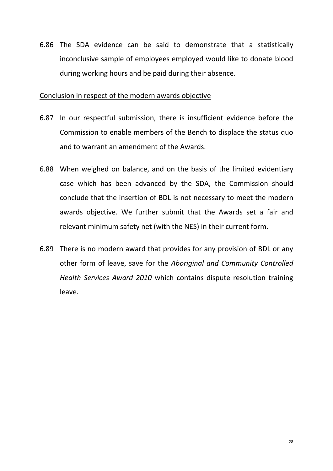6.86 The SDA evidence can be said to demonstrate that a statistically inconclusive sample of employees employed would like to donate blood during working hours and be paid during their absence.

### Conclusion in respect of the modern awards objective

- 6.87 In our respectful submission, there is insufficient evidence before the Commission to enable members of the Bench to displace the status quo and to warrant an amendment of the Awards.
- 6.88 When weighed on balance, and on the basis of the limited evidentiary case which has been advanced by the SDA, the Commission should conclude that the insertion of BDL is not necessary to meet the modern awards objective. We further submit that the Awards set a fair and relevant minimum safety net (with the NES) in their current form.
- 6.89 There is no modern award that provides for any provision of BDL or any other form of leave, save for the *Aboriginal and Community Controlled Health Services Award 2010* which contains dispute resolution training leave.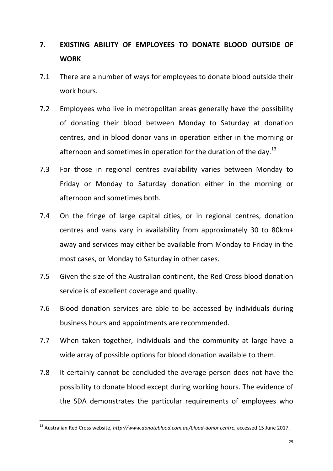# **7. EXISTING ABILITY OF EMPLOYEES TO DONATE BLOOD OUTSIDE OF WORK**

- 7.1 There are a number of ways for employees to donate blood outside their work hours.
- 7.2 Employees who live in metropolitan areas generally have the possibility of donating their blood between Monday to Saturday at donation centres, and in blood donor vans in operation either in the morning or afternoon and sometimes in operation for the duration of the day.<sup>13</sup>
- 7.3 For those in regional centres availability varies between Monday to Friday or Monday to Saturday donation either in the morning or afternoon and sometimes both.
- 7.4 On the fringe of large capital cities, or in regional centres, donation centres and vans vary in availability from approximately 30 to 80km+ away and services may either be available from Monday to Friday in the most cases, or Monday to Saturday in other cases.
- 7.5 Given the size of the Australian continent, the Red Cross blood donation service is of excellent coverage and quality.
- 7.6 Blood donation services are able to be accessed by individuals during business hours and appointments are recommended.
- 7.7 When taken together, individuals and the community at large have a wide array of possible options for blood donation available to them.
- 7.8 It certainly cannot be concluded the average person does not have the possibility to donate blood except during working hours. The evidence of the SDA demonstrates the particular requirements of employees who

<sup>13</sup> Australian Red Cross website, *http://www.donateblood.com.au/blood-donor centre,* accessed 15 June 2017.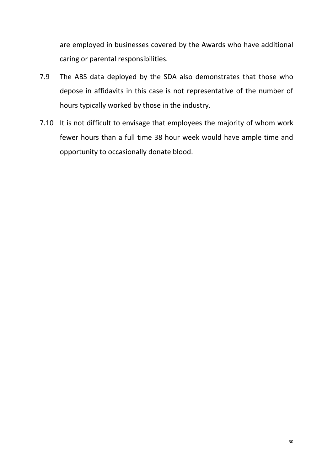are employed in businesses covered by the Awards who have additional caring or parental responsibilities.

- 7.9 The ABS data deployed by the SDA also demonstrates that those who depose in affidavits in this case is not representative of the number of hours typically worked by those in the industry.
- 7.10 It is not difficult to envisage that employees the majority of whom work fewer hours than a full time 38 hour week would have ample time and opportunity to occasionally donate blood.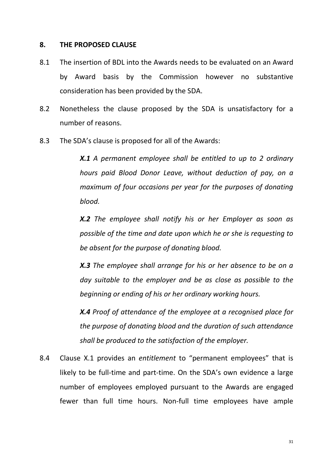### **8. THE PROPOSED CLAUSE**

- 8.1 The insertion of BDL into the Awards needs to be evaluated on an Award by Award basis by the Commission however no substantive consideration has been provided by the SDA.
- 8.2 Nonetheless the clause proposed by the SDA is unsatisfactory for a number of reasons.
- 8.3 The SDA's clause is proposed for all of the Awards:

*X.1 A permanent employee shall be entitled to up to 2 ordinary hours paid Blood Donor Leave, without deduction of pay, on a maximum of four occasions per year for the purposes of donating blood.* 

*X.2 The employee shall notify his or her Employer as soon as possible of the time and date upon which he or she is requesting to be absent for the purpose of donating blood.* 

*X.3 The employee shall arrange for his or her absence to be on a day suitable to the employer and be as close as possible to the beginning or ending of his or her ordinary working hours.* 

*X.4 Proof of attendance of the employee at a recognised place for the purpose of donating blood and the duration of such attendance shall be produced to the satisfaction of the employer.*

8.4 Clause X.1 provides an *entitlement* to "permanent employees" that is likely to be full-time and part-time. On the SDA's own evidence a large number of employees employed pursuant to the Awards are engaged fewer than full time hours. Non-full time employees have ample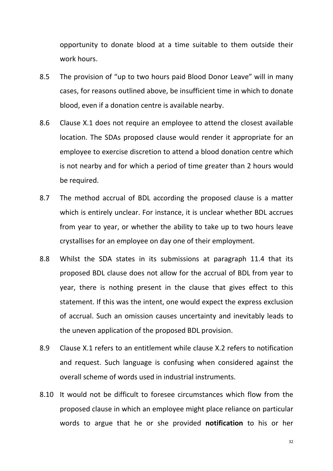opportunity to donate blood at a time suitable to them outside their work hours.

- 8.5 The provision of "up to two hours paid Blood Donor Leave" will in many cases, for reasons outlined above, be insufficient time in which to donate blood, even if a donation centre is available nearby.
- 8.6 Clause X.1 does not require an employee to attend the closest available location. The SDAs proposed clause would render it appropriate for an employee to exercise discretion to attend a blood donation centre which is not nearby and for which a period of time greater than 2 hours would be required.
- 8.7 The method accrual of BDL according the proposed clause is a matter which is entirely unclear. For instance, it is unclear whether BDL accrues from year to year, or whether the ability to take up to two hours leave crystallises for an employee on day one of their employment.
- 8.8 Whilst the SDA states in its submissions at paragraph 11.4 that its proposed BDL clause does not allow for the accrual of BDL from year to year, there is nothing present in the clause that gives effect to this statement. If this was the intent, one would expect the express exclusion of accrual. Such an omission causes uncertainty and inevitably leads to the uneven application of the proposed BDL provision.
- 8.9 Clause X.1 refers to an entitlement while clause X.2 refers to notification and request. Such language is confusing when considered against the overall scheme of words used in industrial instruments.
- 8.10 It would not be difficult to foresee circumstances which flow from the proposed clause in which an employee might place reliance on particular words to argue that he or she provided **notification** to his or her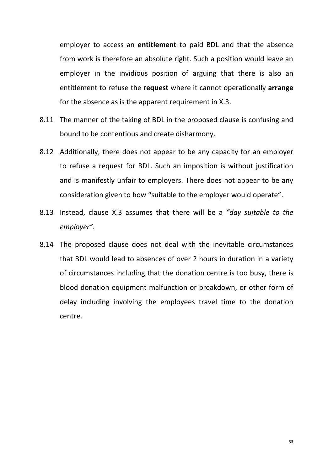employer to access an **entitlement** to paid BDL and that the absence from work is therefore an absolute right. Such a position would leave an employer in the invidious position of arguing that there is also an entitlement to refuse the **request** where it cannot operationally **arrange**  for the absence as is the apparent requirement in X.3.

- 8.11 The manner of the taking of BDL in the proposed clause is confusing and bound to be contentious and create disharmony.
- 8.12 Additionally, there does not appear to be any capacity for an employer to refuse a request for BDL. Such an imposition is without justification and is manifestly unfair to employers. There does not appear to be any consideration given to how "suitable to the employer would operate".
- 8.13 Instead, clause X.3 assumes that there will be a *"day suitable to the employer"*.
- 8.14 The proposed clause does not deal with the inevitable circumstances that BDL would lead to absences of over 2 hours in duration in a variety of circumstances including that the donation centre is too busy, there is blood donation equipment malfunction or breakdown, or other form of delay including involving the employees travel time to the donation centre.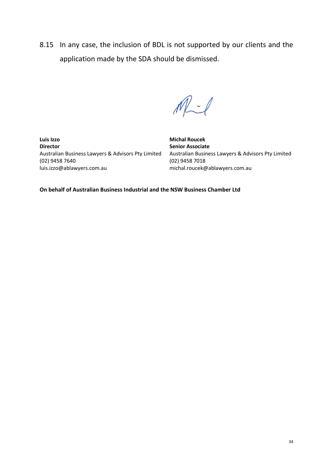8.15 In any case, the inclusion of BDL is not supported by our clients and the application made by the SDA should be dismissed.

 $M - 1$ 

**Luis Izzo Director** Australian Business Lawyers & Advisors Pty Limited (02) 9458 7640 luis.izzo@ablawyers.com.au

**Michal Roucek Senior Associate** Australian Business Lawyers & Advisors Pty Limited (02) 9458 7018 michal.roucek@ablawyers.com.au

**On behalf of Australian Business Industrial and the NSW Business Chamber Ltd**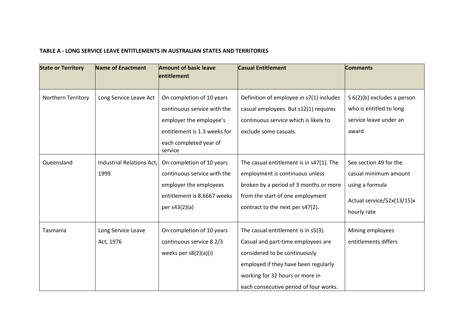#### **TABLE A - LONG SERVICE LEAVE ENTITLEMENTS IN AUSTRALIAN STATES AND TERRITORIES**

| <b>State or Territory</b> | <b>Name of Enactment</b>  | <b>Amount of basic leave</b><br>entitlement | <b>Casual Entitlement</b>                | <b>Comments</b>             |
|---------------------------|---------------------------|---------------------------------------------|------------------------------------------|-----------------------------|
|                           |                           |                                             |                                          |                             |
| Northern Territory        | Long Service Leave Act    | On completion of 10 years                   | Definition of employee in s7(1) includes | S 6(2)(b) excludes a person |
|                           |                           | continuous service with the                 | casual employees. But s12(1) requires    | who is entitled to long     |
|                           |                           | employer the employee's                     | continuous service which is likely to    | service leave under an      |
|                           |                           | entitlement is 1.3 weeks for                | exclude some casuals.                    | award                       |
|                           |                           | each completed year of<br>service           |                                          |                             |
| Queensland                | Industrial Relations Act, | On completion of 10 years                   | The casual entitlement is in s47(1). The | See section 49 for the      |
|                           | 1999                      | continuous service with the                 | employment is continuous unless          | casual minimum amount       |
|                           |                           | employer the employees                      | broken by a period of 3 months or more   | using a formula             |
|                           |                           | entitlement is 8.6667 weeks                 | from the start of one employment         | Actual service/52x(13/15)x  |
|                           |                           | per s43(2)(a)                               | contract to the next per s47(2).         |                             |
|                           |                           |                                             |                                          | hourly rate                 |
| Tasmania                  | Long Service Leave        | On completion of 10 years                   | The casual entitlement is in s5(3).      | Mining employees            |
|                           | Act, 1976                 | continuous service 8 2/3                    | Casual and part-time employees are       | entitlements differs        |
|                           |                           | weeks per $s8(2)(a)(i)$                     | considered to be continuously            |                             |
|                           |                           |                                             | employed if they have been regularly     |                             |
|                           |                           |                                             | working for 32 hours or more in          |                             |
|                           |                           |                                             | each consecutive period of four works.   |                             |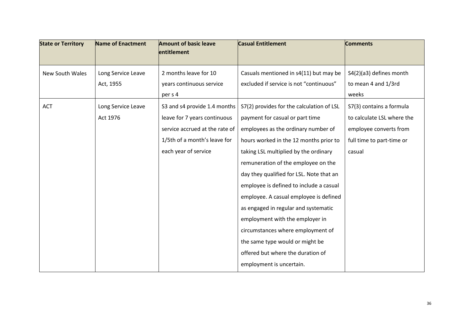| <b>State or Territory</b> | <b>Name of Enactment</b> | <b>Amount of basic leave</b>   | <b>Casual Entitlement</b>                 | <b>Comments</b>            |
|---------------------------|--------------------------|--------------------------------|-------------------------------------------|----------------------------|
|                           |                          | entitlement                    |                                           |                            |
| <b>New South Wales</b>    | Long Service Leave       | 2 months leave for 10          | Casuals mentioned in s4(11) but may be    | S4(2)(a3) defines month    |
|                           | Act, 1955                | years continuous service       | excluded if service is not "continuous"   | to mean 4 and 1/3rd        |
|                           |                          | per s 4                        |                                           | weeks                      |
| <b>ACT</b>                | Long Service Leave       | S3 and s4 provide 1.4 months   | S7(2) provides for the calculation of LSL | S7(3) contains a formula   |
|                           | Act 1976                 | leave for 7 years continuous   | payment for casual or part time           | to calculate LSL where the |
|                           |                          | service accrued at the rate of | employees as the ordinary number of       | employee converts from     |
|                           |                          | 1/5th of a month's leave for   | hours worked in the 12 months prior to    | full time to part-time or  |
|                           |                          | each year of service           | taking LSL multiplied by the ordinary     | casual                     |
|                           |                          |                                | remuneration of the employee on the       |                            |
|                           |                          |                                | day they qualified for LSL. Note that an  |                            |
|                           |                          |                                | employee is defined to include a casual   |                            |
|                           |                          |                                | employee. A casual employee is defined    |                            |
|                           |                          |                                | as engaged in regular and systematic      |                            |
|                           |                          |                                | employment with the employer in           |                            |
|                           |                          |                                | circumstances where employment of         |                            |
|                           |                          |                                | the same type would or might be           |                            |
|                           |                          |                                | offered but where the duration of         |                            |
|                           |                          |                                | employment is uncertain.                  |                            |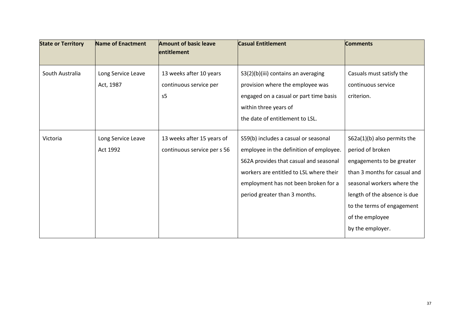| Name of Enactment  | <b>Amount of basic leave</b><br>entitlement | <b>Casual Entitlement</b>               | <b>Comments</b>               |
|--------------------|---------------------------------------------|-----------------------------------------|-------------------------------|
|                    |                                             |                                         |                               |
| Long Service Leave | 13 weeks after 10 years                     | S3(2)(b)(iii) contains an averaging     | Casuals must satisfy the      |
| Act, 1987          | continuous service per                      | provision where the employee was        | continuous service            |
|                    | s <sub>5</sub>                              | engaged on a casual or part time basis  | criterion.                    |
|                    |                                             | within three years of                   |                               |
|                    |                                             | the date of entitlement to LSL.         |                               |
| Long Service Leave | 13 weeks after 15 years of                  | S59(b) includes a casual or seasonal    | $S62a(1)(b)$ also permits the |
| Act 1992           | continuous service per s 56                 | employee in the definition of employee. | period of broken              |
|                    |                                             | S62A provides that casual and seasonal  | engagements to be greater     |
|                    |                                             | workers are entitled to LSL where their | than 3 months for casual and  |
|                    |                                             | employment has not been broken for a    | seasonal workers where the    |
|                    |                                             | period greater than 3 months.           | length of the absence is due  |
|                    |                                             |                                         | to the terms of engagement    |
|                    |                                             |                                         | of the employee               |
|                    |                                             |                                         | by the employer.              |
|                    |                                             |                                         |                               |